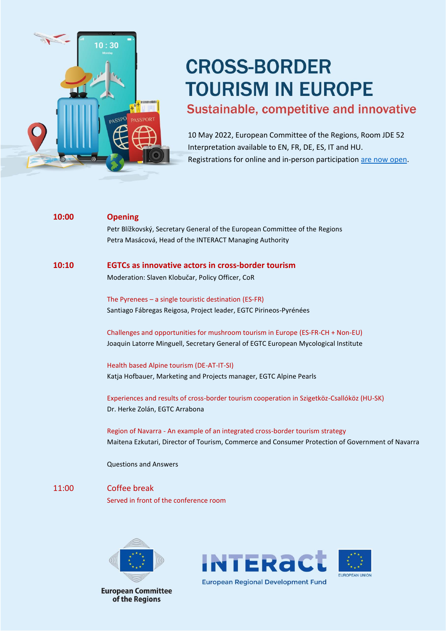

# **CROSS-BORDER TOURISM IN EUROPE**

## Sustainable, competitive and innovative

10 May 2022, European Committee of the Regions, Room JDE 52 Interpretation available to EN, FR, DE, ES, IT and HU. Registrations for online and in-person participatio[n are now open.](https://ec.europa.eu/eusurvey/runner/CBTourism2022)

| 10:00 | <b>Opening</b>                                                                                   |
|-------|--------------------------------------------------------------------------------------------------|
|       | Petr Blížkovský, Secretary General of the European Committee of the Regions                      |
|       | Petra Masácová, Head of the INTERACT Managing Authority                                          |
| 10:10 | <b>EGTCs as innovative actors in cross-border tourism</b>                                        |
|       | Moderation: Slaven Klobučar, Policy Officer, CoR                                                 |
|       | The Pyrenees $-$ a single touristic destination (ES-FR)                                          |
|       | Santiago Fábregas Reigosa, Project leader, EGTC Pirineos-Pyrénées                                |
|       | Challenges and opportunities for mushroom tourism in Europe (ES-FR-CH + Non-EU)                  |
|       | Joaquin Latorre Minguell, Secretary General of EGTC European Mycological Institute               |
|       | Health based Alpine tourism (DE-AT-IT-SI)                                                        |
|       | Katja Hofbauer, Marketing and Projects manager, EGTC Alpine Pearls                               |
|       | Experiences and results of cross-border tourism cooperation in Szigetköz-Csallóköz (HU-SK)       |
|       | Dr. Herke Zolán, EGTC Arrabona                                                                   |
|       | Region of Navarra - An example of an integrated cross-border tourism strategy                    |
|       | Maitena Ezkutari, Director of Tourism, Commerce and Consumer Protection of Government of Navarra |
|       | <b>Questions and Answers</b>                                                                     |
| 11:00 | <b>Coffee break</b>                                                                              |
|       | Served in front of the conference room                                                           |
|       |                                                                                                  |